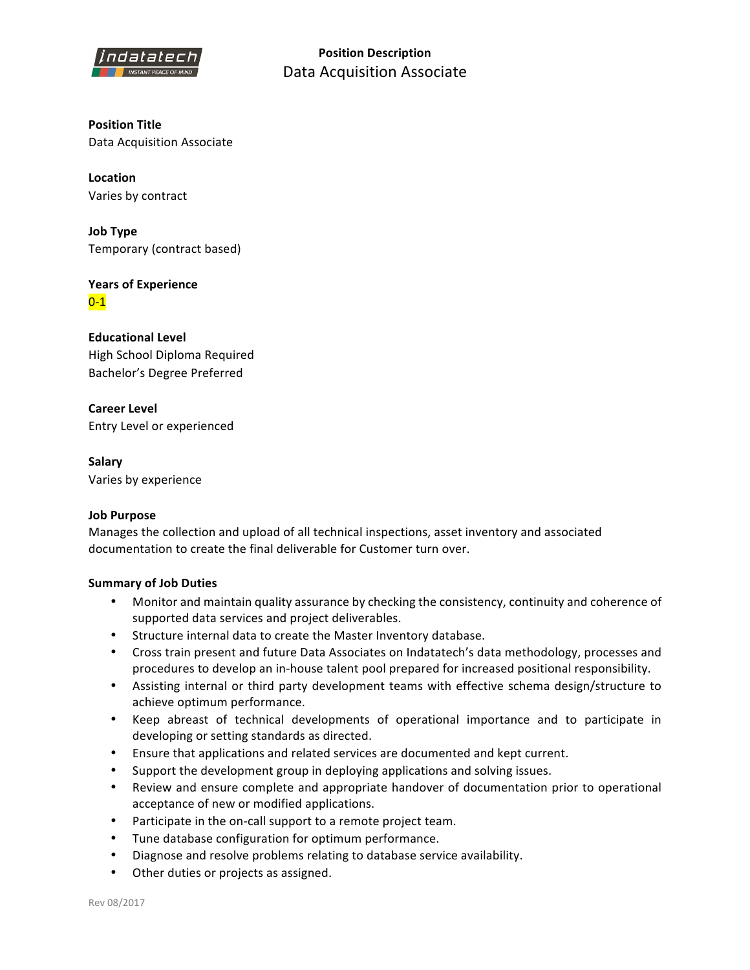

**Position Description** Data Acquisition Associate

**Position Title** Data Acquisition Associate

**Location** Varies by contract

**Job Type** Temporary (contract based)

**Years of Experience**  $0 - 1$ 

**Educational Level** High School Diploma Required Bachelor's Degree Preferred

**Career Level** Entry Level or experienced

**Salary** Varies by experience

## **Job Purpose**

Manages the collection and upload of all technical inspections, asset inventory and associated documentation to create the final deliverable for Customer turn over.

## **Summary of Job Duties**

- Monitor and maintain quality assurance by checking the consistency, continuity and coherence of supported data services and project deliverables.
- Structure internal data to create the Master Inventory database.
- Cross train present and future Data Associates on Indatatech's data methodology, processes and procedures to develop an in-house talent pool prepared for increased positional responsibility.
- Assisting internal or third party development teams with effective schema design/structure to achieve optimum performance.
- Keep abreast of technical developments of operational importance and to participate in developing or setting standards as directed.
- Ensure that applications and related services are documented and kept current.
- Support the development group in deploying applications and solving issues.
- Review and ensure complete and appropriate handover of documentation prior to operational acceptance of new or modified applications.
- Participate in the on-call support to a remote project team.
- Tune database configuration for optimum performance.
- Diagnose and resolve problems relating to database service availability.
- Other duties or projects as assigned.